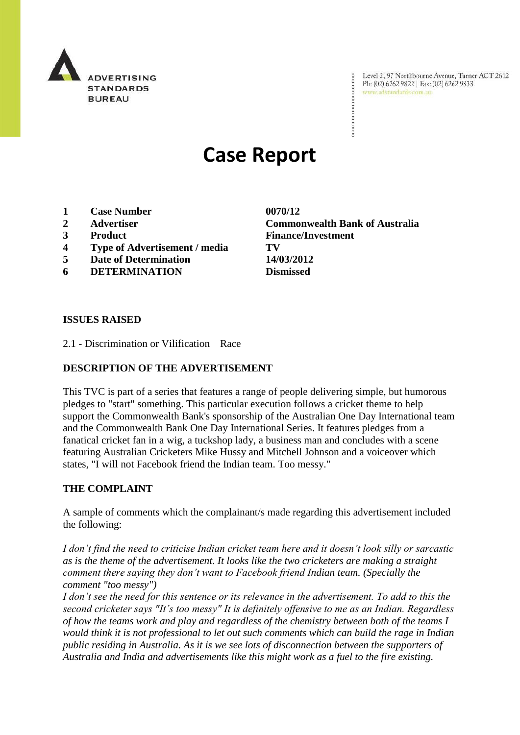

Level 2, 97 Northbourne Avenue, Turner ACT 2612 Ph: (02) 6262 9822 | Fax: (02) 6262 9833 www.adstandards.com.au

# **Case Report**

- **1 Case Number 0070/12**
- 
- 
- **4 Type of Advertisement / media TV**
- **5 Date of Determination 14/03/2012**
- **6 DETERMINATION Dismissed**

**2 Advertiser Commonwealth Bank of Australia 3 Product Finance/Investment**

## **ISSUES RAISED**

2.1 - Discrimination or Vilification Race

## **DESCRIPTION OF THE ADVERTISEMENT**

This TVC is part of a series that features a range of people delivering simple, but humorous pledges to "start" something. This particular execution follows a cricket theme to help support the Commonwealth Bank's sponsorship of the Australian One Day International team and the Commonwealth Bank One Day International Series. It features pledges from a fanatical cricket fan in a wig, a tuckshop lady, a business man and concludes with a scene featuring Australian Cricketers Mike Hussy and Mitchell Johnson and a voiceover which states, "I will not Facebook friend the Indian team. Too messy."

#### **THE COMPLAINT**

A sample of comments which the complainant/s made regarding this advertisement included the following:

*I don't find the need to criticise Indian cricket team here and it doesn't look silly or sarcastic as is the theme of the advertisement. It looks like the two cricketers are making a straight comment there saying they don't want to Facebook friend Indian team. (Specially the comment "too messy")*

*I don't see the need for this sentence or its relevance in the advertisement. To add to this the second cricketer says "It's too messy" It is definitely offensive to me as an Indian. Regardless of how the teams work and play and regardless of the chemistry between both of the teams I would think it is not professional to let out such comments which can build the rage in Indian public residing in Australia. As it is we see lots of disconnection between the supporters of Australia and India and advertisements like this might work as a fuel to the fire existing.*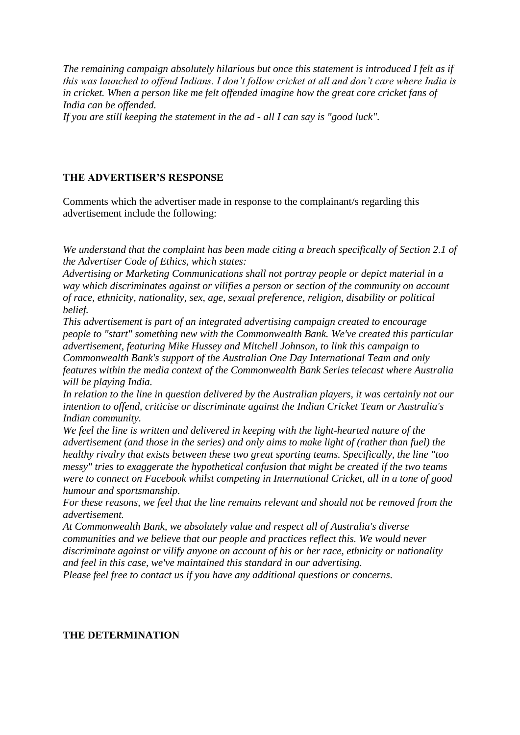*The remaining campaign absolutely hilarious but once this statement is introduced I felt as if this was launched to offend Indians. I don't follow cricket at all and don't care where India is in cricket. When a person like me felt offended imagine how the great core cricket fans of India can be offended.*

*If you are still keeping the statement in the ad - all I can say is "good luck".*

# **THE ADVERTISER'S RESPONSE**

Comments which the advertiser made in response to the complainant/s regarding this advertisement include the following:

*We understand that the complaint has been made citing a breach specifically of Section 2.1 of the Advertiser Code of Ethics, which states:* 

*Advertising or Marketing Communications shall not portray people or depict material in a way which discriminates against or vilifies a person or section of the community on account of race, ethnicity, nationality, sex, age, sexual preference, religion, disability or political belief.*

*This advertisement is part of an integrated advertising campaign created to encourage people to "start" something new with the Commonwealth Bank. We've created this particular advertisement, featuring Mike Hussey and Mitchell Johnson, to link this campaign to Commonwealth Bank's support of the Australian One Day International Team and only features within the media context of the Commonwealth Bank Series telecast where Australia will be playing India.*

*In relation to the line in question delivered by the Australian players, it was certainly not our intention to offend, criticise or discriminate against the Indian Cricket Team or Australia's Indian community.* 

*We feel the line is written and delivered in keeping with the light-hearted nature of the advertisement (and those in the series) and only aims to make light of (rather than fuel) the healthy rivalry that exists between these two great sporting teams. Specifically, the line "too messy" tries to exaggerate the hypothetical confusion that might be created if the two teams were to connect on Facebook whilst competing in International Cricket, all in a tone of good humour and sportsmanship.*

*For these reasons, we feel that the line remains relevant and should not be removed from the advertisement.* 

*At Commonwealth Bank, we absolutely value and respect all of Australia's diverse communities and we believe that our people and practices reflect this. We would never discriminate against or vilify anyone on account of his or her race, ethnicity or nationality and feel in this case, we've maintained this standard in our advertising.* 

*Please feel free to contact us if you have any additional questions or concerns.* 

# **THE DETERMINATION**